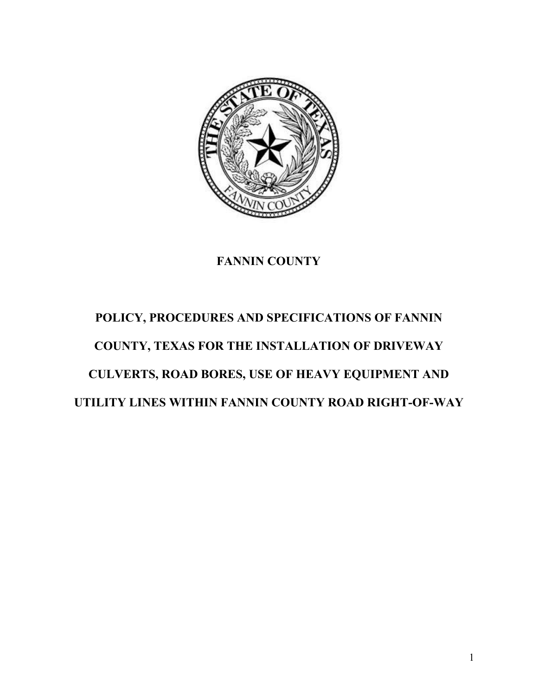

### **FANNIN COUNTY**

# **POLICY, PROCEDURES AND SPECIFICATIONS OF FANNIN COUNTY, TEXAS FOR THE INSTALLATION OF DRIVEWAY CULVERTS, ROAD BORES, USE OF HEAVY EQUIPMENT AND UTILITY LINES WITHIN FANNIN COUNTY ROAD RIGHT-OF-WAY**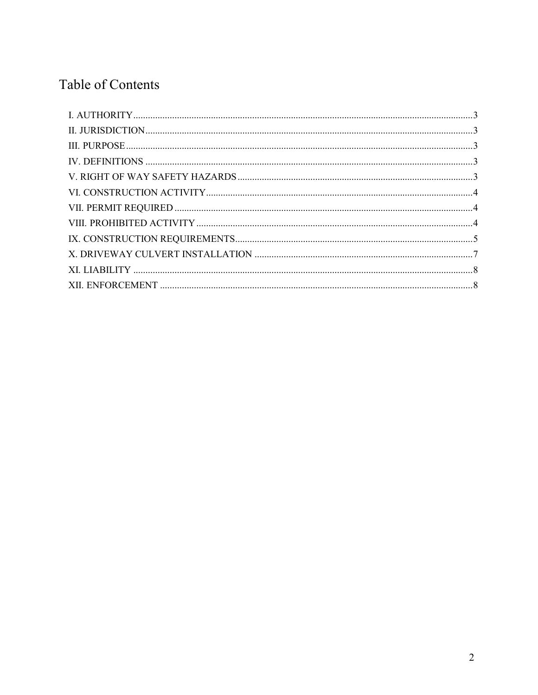## Table of Contents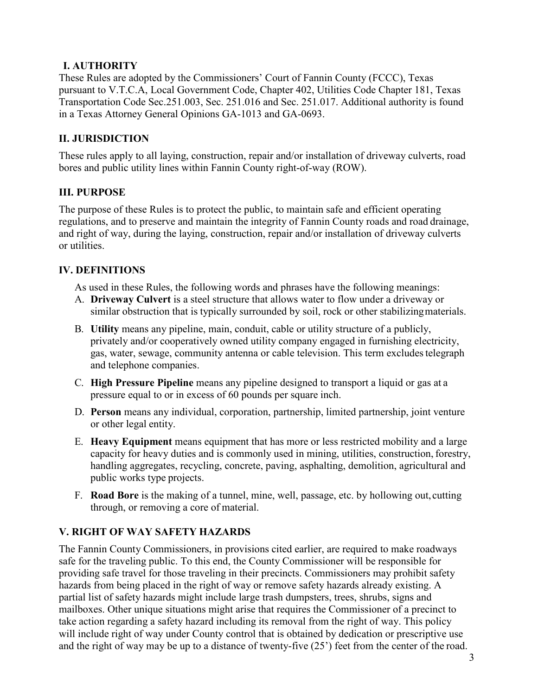#### <span id="page-2-0"></span>**I. AUTHORITY**

These Rules are adopted by the Commissioners' Court of Fannin County (FCCC), Texas pursuant to V.T.C.A, Local Government Code, Chapter 402, Utilities Code Chapter 181, Texas Transportation Code Sec.251.003, Sec. 251.016 and Sec. 251.017. Additional authority is found in a Texas Attorney General Opinions GA-1013 and GA-0693.

#### <span id="page-2-1"></span>**II. JURISDICTION**

These rules apply to all laying, construction, repair and/or installation of driveway culverts, road bores and public utility lines within Fannin County right-of-way (ROW).

#### <span id="page-2-2"></span>**III. PURPOSE**

The purpose of these Rules is to protect the public, to maintain safe and efficient operating regulations, and to preserve and maintain the integrity of Fannin County roads and road drainage, and right of way, during the laying, construction, repair and/or installation of driveway culverts or utilities.

#### <span id="page-2-3"></span>**IV. DEFINITIONS**

As used in these Rules, the following words and phrases have the following meanings:

- A. **Driveway Culvert** is a steel structure that allows water to flow under a driveway or similar obstruction that is typically surrounded by soil, rock or other stabilizingmaterials.
- B. **Utility** means any pipeline, main, conduit, cable or utility structure of a publicly, privately and/or cooperatively owned utility company engaged in furnishing electricity, gas, water, sewage, community antenna or cable television. This term excludestelegraph and telephone companies.
- C. **High Pressure Pipeline** means any pipeline designed to transport a liquid or gas at a pressure equal to or in excess of 60 pounds per square inch.
- D. **Person** means any individual, corporation, partnership, limited partnership, joint venture or other legal entity.
- E. **Heavy Equipment** means equipment that has more or less restricted mobility and a large capacity for heavy duties and is commonly used in mining, utilities, construction, forestry, handling aggregates, recycling, concrete, paving, asphalting, demolition, agricultural and public works type projects.
- F. **Road Bore** is the making of a tunnel, mine, well, passage, etc. by hollowing out,cutting through, or removing a core of material.

#### <span id="page-2-4"></span>**V. RIGHT OF WAY SAFETY HAZARDS**

The Fannin County Commissioners, in provisions cited earlier, are required to make roadways safe for the traveling public. To this end, the County Commissioner will be responsible for providing safe travel for those traveling in their precincts. Commissioners may prohibit safety hazards from being placed in the right of way or remove safety hazards already existing. A partial list of safety hazards might include large trash dumpsters, trees, shrubs, signs and mailboxes. Other unique situations might arise that requires the Commissioner of a precinct to take action regarding a safety hazard including its removal from the right of way. This policy will include right of way under County control that is obtained by dedication or prescriptive use and the right of way may be up to a distance of twenty-five (25') feet from the center of the road.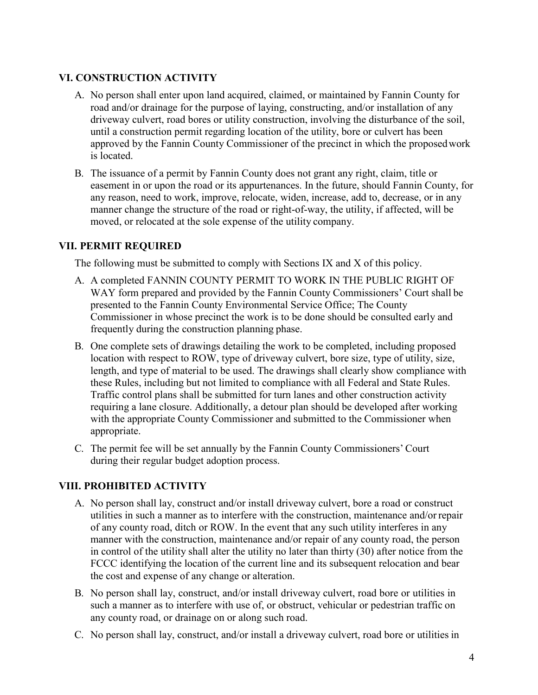#### <span id="page-3-0"></span>**VI. CONSTRUCTION ACTIVITY**

- A. No person shall enter upon land acquired, claimed, or maintained by Fannin County for road and/or drainage for the purpose of laying, constructing, and/or installation of any driveway culvert, road bores or utility construction, involving the disturbance of the soil, until a construction permit regarding location of the utility, bore or culvert has been approved by the Fannin County Commissioner of the precinct in which the proposedwork is located.
- B. The issuance of a permit by Fannin County does not grant any right, claim, title or easement in or upon the road or its appurtenances. In the future, should Fannin County, for any reason, need to work, improve, relocate, widen, increase, add to, decrease, or in any manner change the structure of the road or right-of-way, the utility, if affected, will be moved, or relocated at the sole expense of the utility company.

#### <span id="page-3-1"></span>**VII. PERMIT REQUIRED**

The following must be submitted to comply with Sections IX and X of this policy.

- A. A completed FANNIN COUNTY PERMIT TO WORK IN THE PUBLIC RIGHT OF WAY form prepared and provided by the Fannin County Commissioners' Court shall be presented to the Fannin County Environmental Service Office; The County Commissioner in whose precinct the work is to be done should be consulted early and frequently during the construction planning phase.
- B. One complete sets of drawings detailing the work to be completed, including proposed location with respect to ROW, type of driveway culvert, bore size, type of utility, size, length, and type of material to be used. The drawings shall clearly show compliance with these Rules, including but not limited to compliance with all Federal and State Rules. Traffic control plans shall be submitted for turn lanes and other construction activity requiring a lane closure. Additionally, a detour plan should be developed after working with the appropriate County Commissioner and submitted to the Commissioner when appropriate.
- C. The permit fee will be set annually by the Fannin County Commissioners' Court during their regular budget adoption process.

#### <span id="page-3-2"></span>**VIII. PROHIBITED ACTIVITY**

- A. No person shall lay, construct and/or install driveway culvert, bore a road or construct utilities in such a manner as to interfere with the construction, maintenance and/or repair of any county road, ditch or ROW. In the event that any such utility interferes in any manner with the construction, maintenance and/or repair of any county road, the person in control of the utility shall alter the utility no later than thirty (30) after notice from the FCCC identifying the location of the current line and its subsequent relocation and bear the cost and expense of any change or alteration.
- B. No person shall lay, construct, and/or install driveway culvert, road bore or utilities in such a manner as to interfere with use of, or obstruct, vehicular or pedestrian traffic on any county road, or drainage on or along such road.
- C. No person shall lay, construct, and/or install a driveway culvert, road bore or utilities in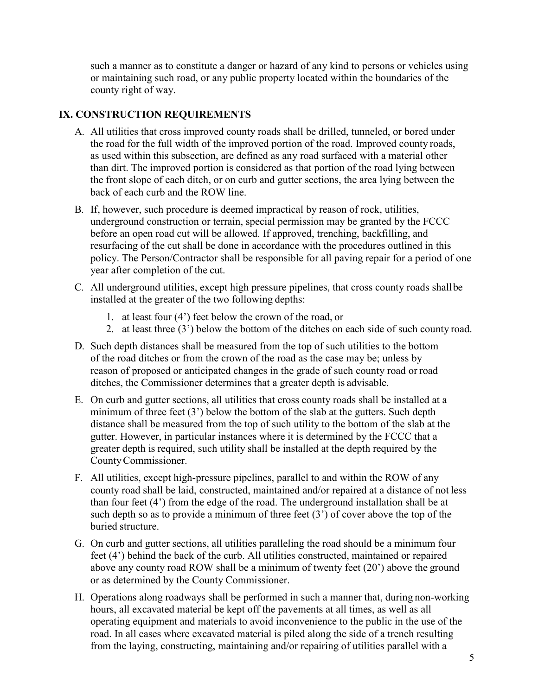such a manner as to constitute a danger or hazard of any kind to persons or vehicles using or maintaining such road, or any public property located within the boundaries of the county right of way.

#### <span id="page-4-0"></span>**IX. CONSTRUCTION REQUIREMENTS**

- A. All utilities that cross improved county roads shall be drilled, tunneled, or bored under the road for the full width of the improved portion of the road. Improved county roads, as used within this subsection, are defined as any road surfaced with a material other than dirt. The improved portion is considered as that portion of the road lying between the front slope of each ditch, or on curb and gutter sections, the area lying between the back of each curb and the ROW line.
- B. If, however, such procedure is deemed impractical by reason of rock, utilities, underground construction or terrain, special permission may be granted by the FCCC before an open road cut will be allowed. If approved, trenching, backfilling, and resurfacing of the cut shall be done in accordance with the procedures outlined in this policy. The Person/Contractor shall be responsible for all paving repair for a period of one year after completion of the cut.
- C. All underground utilities, except high pressure pipelines, that cross county roads shallbe installed at the greater of the two following depths:
	- 1. at least four (4') feet below the crown of the road, or
	- 2. at least three (3') below the bottom of the ditches on each side of such county road.
- D. Such depth distances shall be measured from the top of such utilities to the bottom of the road ditches or from the crown of the road as the case may be; unless by reason of proposed or anticipated changes in the grade of such county road or road ditches, the Commissioner determines that a greater depth is advisable.
- E. On curb and gutter sections, all utilities that cross county roads shall be installed at a minimum of three feet (3') below the bottom of the slab at the gutters. Such depth distance shall be measured from the top of such utility to the bottom of the slab at the gutter. However, in particular instances where it is determined by the FCCC that a greater depth is required, such utility shall be installed at the depth required by the CountyCommissioner.
- F. All utilities, except high-pressure pipelines, parallel to and within the ROW of any county road shall be laid, constructed, maintained and/or repaired at a distance of not less than four feet (4') from the edge of the road. The underground installation shall be at such depth so as to provide a minimum of three feet (3') of cover above the top of the buried structure.
- G. On curb and gutter sections, all utilities paralleling the road should be a minimum four feet (4') behind the back of the curb. All utilities constructed, maintained or repaired above any county road ROW shall be a minimum of twenty feet (20') above the ground or as determined by the County Commissioner.
- H. Operations along roadways shall be performed in such a manner that, during non-working hours, all excavated material be kept off the pavements at all times, as well as all operating equipment and materials to avoid inconvenience to the public in the use of the road. In all cases where excavated material is piled along the side of a trench resulting from the laying, constructing, maintaining and/or repairing of utilities parallel with a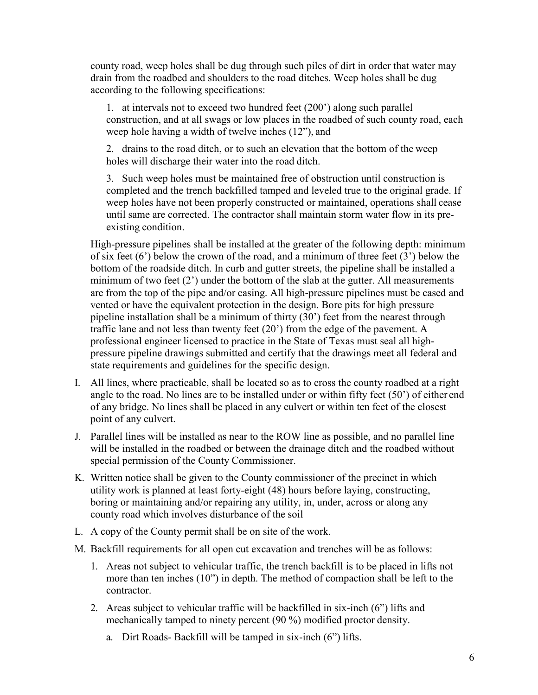county road, weep holes shall be dug through such piles of dirt in order that water may drain from the roadbed and shoulders to the road ditches. Weep holes shall be dug according to the following specifications:

1. at intervals not to exceed two hundred feet (200') along such parallel construction, and at all swags or low places in the roadbed of such county road, each weep hole having a width of twelve inches (12"), and

2. drains to the road ditch, or to such an elevation that the bottom of the weep holes will discharge their water into the road ditch.

3. Such weep holes must be maintained free of obstruction until construction is completed and the trench backfilled tamped and leveled true to the original grade. If weep holes have not been properly constructed or maintained, operations shall cease until same are corrected. The contractor shall maintain storm water flow in its preexisting condition.

High-pressure pipelines shall be installed at the greater of the following depth: minimum of six feet (6') below the crown of the road, and a minimum of three feet (3') below the bottom of the roadside ditch. In curb and gutter streets, the pipeline shall be installed a minimum of two feet (2') under the bottom of the slab at the gutter. All measurements are from the top of the pipe and/or casing. All high-pressure pipelines must be cased and vented or have the equivalent protection in the design. Bore pits for high pressure pipeline installation shall be a minimum of thirty (30') feet from the nearest through traffic lane and not less than twenty feet (20') from the edge of the pavement. A professional engineer licensed to practice in the State of Texas must seal all highpressure pipeline drawings submitted and certify that the drawings meet all federal and state requirements and guidelines for the specific design.

- I. All lines, where practicable, shall be located so as to cross the county roadbed at a right angle to the road. No lines are to be installed under or within fifty feet (50') of either end of any bridge. No lines shall be placed in any culvert or within ten feet of the closest point of any culvert.
- J. Parallel lines will be installed as near to the ROW line as possible, and no parallel line will be installed in the roadbed or between the drainage ditch and the roadbed without special permission of the County Commissioner.
- K. Written notice shall be given to the County commissioner of the precinct in which utility work is planned at least forty-eight (48) hours before laying, constructing, boring or maintaining and/or repairing any utility, in, under, across or along any county road which involves disturbance of the soil
- L. A copy of the County permit shall be on site of the work.
- M. Backfill requirements for all open cut excavation and trenches will be as follows:
	- 1. Areas not subject to vehicular traffic, the trench backfill is to be placed in lifts not more than ten inches (10") in depth. The method of compaction shall be left to the contractor.
	- 2. Areas subject to vehicular traffic will be backfilled in six-inch (6") lifts and mechanically tamped to ninety percent (90 %) modified proctor density.
		- a. Dirt Roads- Backfill will be tamped in six-inch (6") lifts.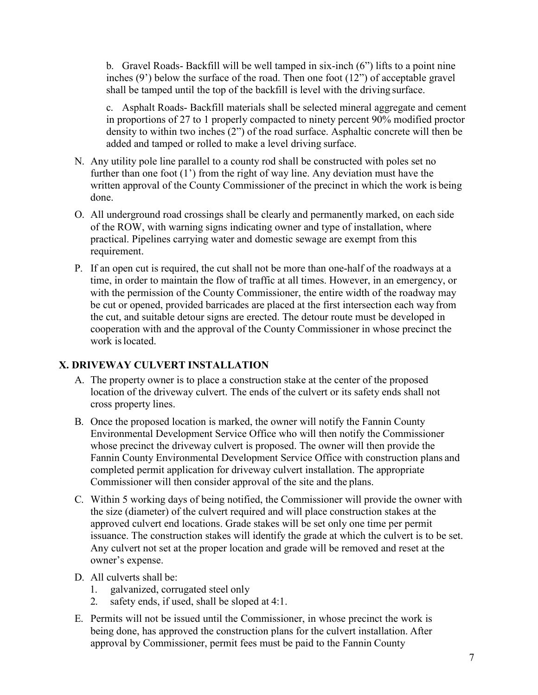b. Gravel Roads- Backfill will be well tamped in six-inch (6") lifts to a point nine inches (9') below the surface of the road. Then one foot (12") of acceptable gravel shall be tamped until the top of the backfill is level with the driving surface.

c. Asphalt Roads- Backfill materials shall be selected mineral aggregate and cement in proportions of 27 to 1 properly compacted to ninety percent 90% modified proctor density to within two inches (2") of the road surface. Asphaltic concrete will then be added and tamped or rolled to make a level driving surface.

- N. Any utility pole line parallel to a county rod shall be constructed with poles set no further than one foot (1') from the right of way line. Any deviation must have the written approval of the County Commissioner of the precinct in which the work is being done.
- O. All underground road crossings shall be clearly and permanently marked, on each side of the ROW, with warning signs indicating owner and type of installation, where practical. Pipelines carrying water and domestic sewage are exempt from this requirement.
- P. If an open cut is required, the cut shall not be more than one-half of the roadways at a time, in order to maintain the flow of traffic at all times. However, in an emergency, or with the permission of the County Commissioner, the entire width of the roadway may be cut or opened, provided barricades are placed at the first intersection each way from the cut, and suitable detour signs are erected. The detour route must be developed in cooperation with and the approval of the County Commissioner in whose precinct the work islocated.

#### <span id="page-6-0"></span>**X. DRIVEWAY CULVERT INSTALLATION**

- A. The property owner is to place a construction stake at the center of the proposed location of the driveway culvert. The ends of the culvert or its safety ends shall not cross property lines.
- B. Once the proposed location is marked, the owner will notify the Fannin County Environmental Development Service Office who will then notify the Commissioner whose precinct the driveway culvert is proposed. The owner will then provide the Fannin County Environmental Development Service Office with construction plans and completed permit application for driveway culvert installation. The appropriate Commissioner will then consider approval of the site and the plans.
- C. Within 5 working days of being notified, the Commissioner will provide the owner with the size (diameter) of the culvert required and will place construction stakes at the approved culvert end locations. Grade stakes will be set only one time per permit issuance. The construction stakes will identify the grade at which the culvert is to be set. Any culvert not set at the proper location and grade will be removed and reset at the owner's expense.
- D. All culverts shall be:
	- 1. galvanized, corrugated steel only
	- 2. safety ends, if used, shall be sloped at 4:1.
- E. Permits will not be issued until the Commissioner, in whose precinct the work is being done, has approved the construction plans for the culvert installation. After approval by Commissioner, permit fees must be paid to the Fannin County